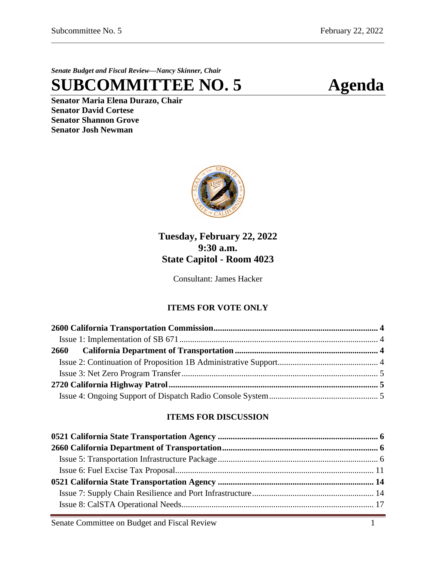*Senate Budget and Fiscal Review—Nancy Skinner, Chair*

**SUBCOMMITTEE NO. 5 Agenda**

**Senator Maria Elena Durazo, Chair Senator David Cortese Senator Shannon Grove Senator Josh Newman**



# **Tuesday, February 22, 2022 9:30 a.m. State Capitol - Room 4023**

Consultant: James Hacker

# **ITEMS FOR VOTE ONLY**

# **ITEMS FOR DISCUSSION**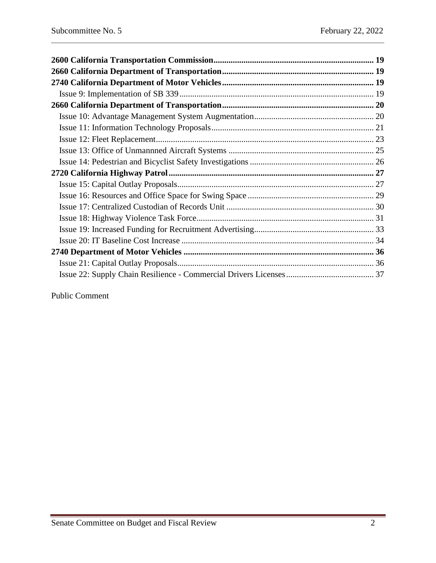Public Comment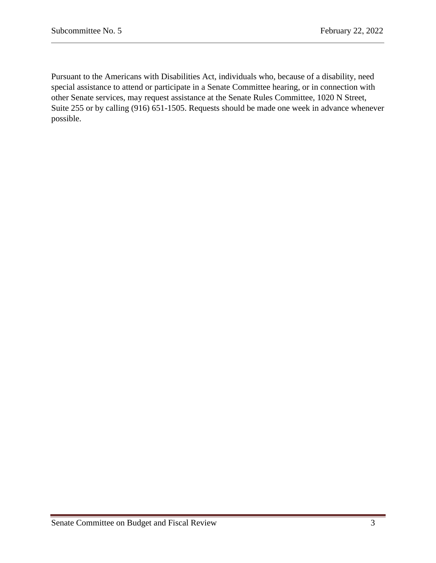Pursuant to the Americans with Disabilities Act, individuals who, because of a disability, need special assistance to attend or participate in a Senate Committee hearing, or in connection with other Senate services, may request assistance at the Senate Rules Committee, 1020 N Street, Suite 255 or by calling (916) 651-1505. Requests should be made one week in advance whenever possible.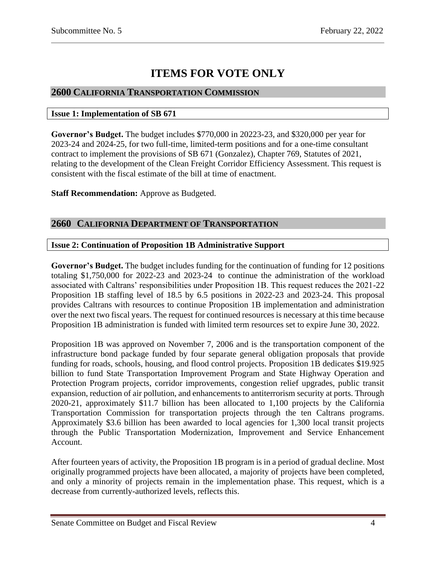# **ITEMS FOR VOTE ONLY**

# <span id="page-3-0"></span>**2600 CALIFORNIA TRANSPORTATION COMMISSION**

#### <span id="page-3-1"></span>**Issue 1: Implementation of SB 671**

**Governor's Budget.** The budget includes \$770,000 in 20223-23, and \$320,000 per year for 2023-24 and 2024-25, for two full-time, limited-term positions and for a one-time consultant contract to implement the provisions of SB 671 (Gonzalez), Chapter 769, Statutes of 2021, relating to the development of the Clean Freight Corridor Efficiency Assessment. This request is consistent with the fiscal estimate of the bill at time of enactment.

**Staff Recommendation:** Approve as Budgeted.

### <span id="page-3-2"></span>**2660 CALIFORNIA DEPARTMENT OF TRANSPORTATION**

#### <span id="page-3-3"></span>**Issue 2: Continuation of Proposition 1B Administrative Support**

**Governor's Budget.** The budget includes funding for the continuation of funding for 12 positions totaling \$1,750,000 for 2022-23 and 2023-24 to continue the administration of the workload associated with Caltrans' responsibilities under Proposition 1B. This request reduces the 2021-22 Proposition 1B staffing level of 18.5 by 6.5 positions in 2022-23 and 2023-24. This proposal provides Caltrans with resources to continue Proposition 1B implementation and administration over the next two fiscal years. The request for continued resources is necessary at this time because Proposition 1B administration is funded with limited term resources set to expire June 30, 2022.

Proposition 1B was approved on November 7, 2006 and is the transportation component of the infrastructure bond package funded by four separate general obligation proposals that provide funding for roads, schools, housing, and flood control projects. Proposition 1B dedicates \$19.925 billion to fund State Transportation Improvement Program and State Highway Operation and Protection Program projects, corridor improvements, congestion relief upgrades, public transit expansion, reduction of air pollution, and enhancements to antiterrorism security at ports. Through 2020-21, approximately \$11.7 billion has been allocated to 1,100 projects by the California Transportation Commission for transportation projects through the ten Caltrans programs. Approximately \$3.6 billion has been awarded to local agencies for 1,300 local transit projects through the Public Transportation Modernization, Improvement and Service Enhancement Account.

After fourteen years of activity, the Proposition 1B program is in a period of gradual decline. Most originally programmed projects have been allocated, a majority of projects have been completed, and only a minority of projects remain in the implementation phase. This request, which is a decrease from currently-authorized levels, reflects this.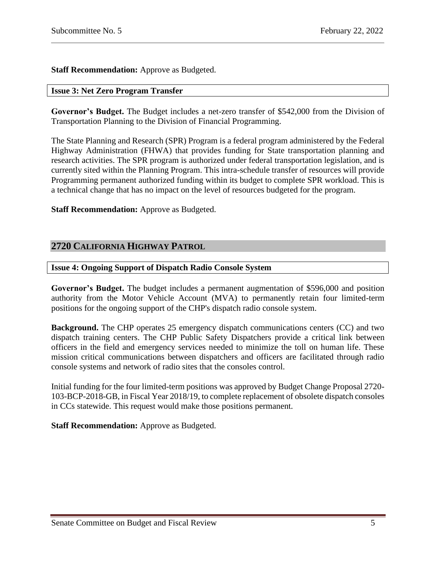**Staff Recommendation:** Approve as Budgeted.

#### <span id="page-4-0"></span>**Issue 3: Net Zero Program Transfer**

**Governor's Budget.** The Budget includes a net-zero transfer of \$542,000 from the Division of Transportation Planning to the Division of Financial Programming.

The State Planning and Research (SPR) Program is a federal program administered by the Federal Highway Administration (FHWA) that provides funding for State transportation planning and research activities. The SPR program is authorized under federal transportation legislation, and is currently sited within the Planning Program. This intra-schedule transfer of resources will provide Programming permanent authorized funding within its budget to complete SPR workload. This is a technical change that has no impact on the level of resources budgeted for the program.

**Staff Recommendation:** Approve as Budgeted.

# <span id="page-4-1"></span>**2720 CALIFORNIA HIGHWAY PATROL**

#### <span id="page-4-2"></span>**Issue 4: Ongoing Support of Dispatch Radio Console System**

**Governor's Budget.** The budget includes a permanent augmentation of \$596,000 and position authority from the Motor Vehicle Account (MVA) to permanently retain four limited-term positions for the ongoing support of the CHP's dispatch radio console system.

**Background.** The CHP operates 25 emergency dispatch communications centers (CC) and two dispatch training centers. The CHP Public Safety Dispatchers provide a critical link between officers in the field and emergency services needed to minimize the toll on human life. These mission critical communications between dispatchers and officers are facilitated through radio console systems and network of radio sites that the consoles control.

Initial funding for the four limited-term positions was approved by Budget Change Proposal 2720- 103-BCP-2018-GB, in Fiscal Year 2018/19, to complete replacement of obsolete dispatch consoles in CCs statewide. This request would make those positions permanent.

**Staff Recommendation:** Approve as Budgeted.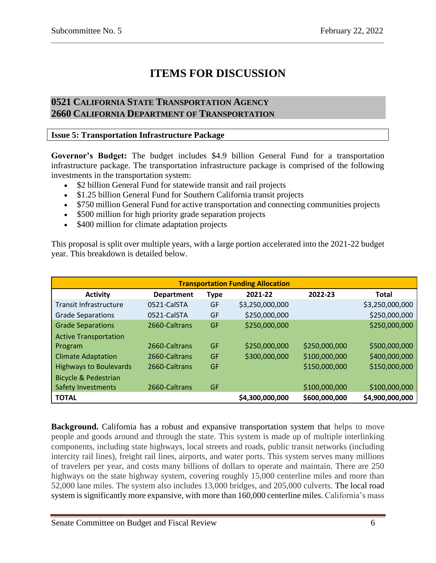# **ITEMS FOR DISCUSSION**

# <span id="page-5-1"></span><span id="page-5-0"></span>**0521 CALIFORNIA STATE TRANSPORTATION AGENCY 2660 CALIFORNIA DEPARTMENT OF TRANSPORTATION**

#### <span id="page-5-2"></span>**Issue 5: Transportation Infrastructure Package**

**Governor's Budget:** The budget includes \$4.9 billion General Fund for a transportation infrastructure package. The transportation infrastructure package is comprised of the following investments in the transportation system:

- \$2 billion General Fund for statewide transit and rail projects
- \$1.25 billion General Fund for Southern California transit projects
- \$750 million General Fund for active transportation and connecting communities projects
- \$500 million for high priority grade separation projects
- \$400 million for climate adaptation projects

This proposal is split over multiple years, with a large portion accelerated into the 2021-22 budget year. This breakdown is detailed below.

| <b>Transportation Funding Allocation</b> |                   |             |                 |               |                 |  |
|------------------------------------------|-------------------|-------------|-----------------|---------------|-----------------|--|
| <b>Activity</b>                          | <b>Department</b> | <b>Type</b> | 2021-22         | 2022-23       | <b>Total</b>    |  |
| <b>Transit Infrastructure</b>            | 0521-CalSTA       | GF          | \$3,250,000,000 |               | \$3,250,000,000 |  |
| <b>Grade Separations</b>                 | 0521-CalSTA       | GF          | \$250,000,000   |               | \$250,000,000   |  |
| <b>Grade Separations</b>                 | 2660-Caltrans     | GF          | \$250,000,000   |               | \$250,000,000   |  |
| <b>Active Transportation</b>             |                   |             |                 |               |                 |  |
| Program                                  | 2660-Caltrans     | GF          | \$250,000,000   | \$250,000,000 | \$500,000,000   |  |
| <b>Climate Adaptation</b>                | 2660-Caltrans     | GF          | \$300,000,000   | \$100,000,000 | \$400,000,000   |  |
| <b>Highways to Boulevards</b>            | 2660-Caltrans     | GF          |                 | \$150,000,000 | \$150,000,000   |  |
| <b>Bicycle &amp; Pedestrian</b>          |                   |             |                 |               |                 |  |
| <b>Safety Investments</b>                | 2660-Caltrans     | GF          |                 | \$100,000,000 | \$100,000,000   |  |
| <b>TOTAL</b>                             |                   |             | \$4,300,000,000 | \$600,000,000 | \$4,900,000,000 |  |

**Background.** California has a robust and expansive transportation system that helps to move people and goods around and through the state. This system is made up of multiple interlinking components, including state highways, local streets and roads, public transit networks (including intercity rail lines), freight rail lines, airports, and water ports. This system serves many millions of travelers per year, and costs many billions of dollars to operate and maintain. There are 250 highways on the state highway system, covering roughly 15,000 centerline miles and more than 52,000 lane miles. The system also includes 13,000 bridges, and 205,000 culverts. The local road system is significantly more expansive, with more than 160,000 centerline miles. California's mass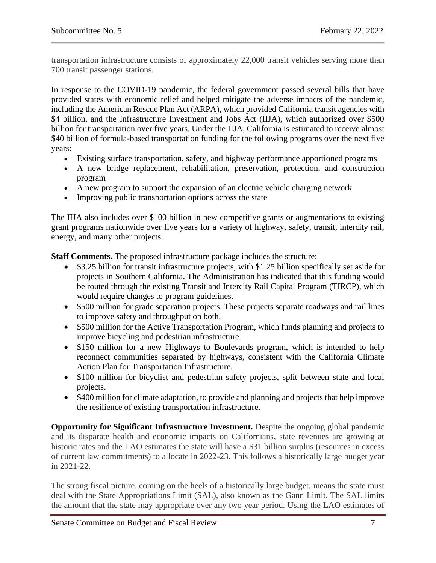transportation infrastructure consists of approximately 22,000 transit vehicles serving more than 700 transit passenger stations.

In response to the COVID-19 pandemic, the federal government passed several bills that have provided states with economic relief and helped mitigate the adverse impacts of the pandemic, including the American Rescue Plan Act (ARPA), which provided California transit agencies with \$4 billion, and the Infrastructure Investment and Jobs Act (IIJA), which authorized over \$500 billion for transportation over five years. Under the IIJA, California is estimated to receive almost \$40 billion of formula-based transportation funding for the following programs over the next five years:

- Existing surface transportation, safety, and highway performance apportioned programs
- A new bridge replacement, rehabilitation, preservation, protection, and construction program
- A new program to support the expansion of an electric vehicle charging network
- Improving public transportation options across the state

The IIJA also includes over \$100 billion in new competitive grants or augmentations to existing grant programs nationwide over five years for a variety of highway, safety, transit, intercity rail, energy, and many other projects.

**Staff Comments.** The proposed infrastructure package includes the structure:

- \$3.25 billion for transit infrastructure projects, with \$1.25 billion specifically set aside for projects in Southern California. The Administration has indicated that this funding would be routed through the existing Transit and Intercity Rail Capital Program (TIRCP), which would require changes to program guidelines.
- \$500 million for grade separation projects. These projects separate roadways and rail lines to improve safety and throughput on both.
- \$500 million for the Active Transportation Program, which funds planning and projects to improve bicycling and pedestrian infrastructure.
- \$150 million for a new Highways to Boulevards program, which is intended to help reconnect communities separated by highways, consistent with the California Climate Action Plan for Transportation Infrastructure.
- \$100 million for bicyclist and pedestrian safety projects, split between state and local projects.
- \$400 million for climate adaptation, to provide and planning and projects that help improve the resilience of existing transportation infrastructure.

**Opportunity for Significant Infrastructure Investment.** Despite the ongoing global pandemic and its disparate health and economic impacts on Californians, state revenues are growing at historic rates and the LAO estimates the state will have a \$31 billion surplus (resources in excess of current law commitments) to allocate in 2022-23. This follows a historically large budget year in 2021-22.

The strong fiscal picture, coming on the heels of a historically large budget, means the state must deal with the State Appropriations Limit (SAL), also known as the Gann Limit. The SAL limits the amount that the state may appropriate over any two year period. Using the LAO estimates of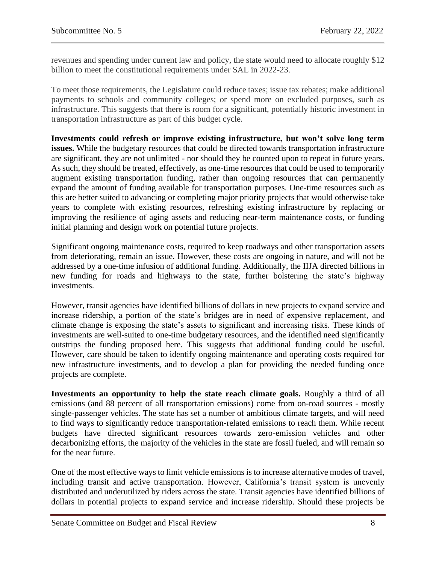revenues and spending under current law and policy, the state would need to allocate roughly \$12 billion to meet the constitutional requirements under SAL in 2022-23.

To meet those requirements, the Legislature could reduce taxes; issue tax rebates; make additional payments to schools and community colleges; or spend more on excluded purposes, such as infrastructure. This suggests that there is room for a significant, potentially historic investment in transportation infrastructure as part of this budget cycle.

**Investments could refresh or improve existing infrastructure, but won't solve long term issues.** While the budgetary resources that could be directed towards transportation infrastructure are significant, they are not unlimited - nor should they be counted upon to repeat in future years. As such, they should be treated, effectively, as one-time resources that could be used to temporarily augment existing transportation funding, rather than ongoing resources that can permanently expand the amount of funding available for transportation purposes. One-time resources such as this are better suited to advancing or completing major priority projects that would otherwise take years to complete with existing resources, refreshing existing infrastructure by replacing or improving the resilience of aging assets and reducing near-term maintenance costs, or funding initial planning and design work on potential future projects.

Significant ongoing maintenance costs, required to keep roadways and other transportation assets from deteriorating, remain an issue. However, these costs are ongoing in nature, and will not be addressed by a one-time infusion of additional funding. Additionally, the IIJA directed billions in new funding for roads and highways to the state, further bolstering the state's highway investments.

However, transit agencies have identified billions of dollars in new projects to expand service and increase ridership, a portion of the state's bridges are in need of expensive replacement, and climate change is exposing the state's assets to significant and increasing risks. These kinds of investments are well-suited to one-time budgetary resources, and the identified need significantly outstrips the funding proposed here. This suggests that additional funding could be useful. However, care should be taken to identify ongoing maintenance and operating costs required for new infrastructure investments, and to develop a plan for providing the needed funding once projects are complete.

**Investments an opportunity to help the state reach climate goals.** Roughly a third of all emissions (and 88 percent of all transportation emissions) come from on-road sources - mostly single-passenger vehicles. The state has set a number of ambitious climate targets, and will need to find ways to significantly reduce transportation-related emissions to reach them. While recent budgets have directed significant resources towards zero-emission vehicles and other decarbonizing efforts, the majority of the vehicles in the state are fossil fueled, and will remain so for the near future.

One of the most effective ways to limit vehicle emissions is to increase alternative modes of travel, including transit and active transportation. However, California's transit system is unevenly distributed and underutilized by riders across the state. Transit agencies have identified billions of dollars in potential projects to expand service and increase ridership. Should these projects be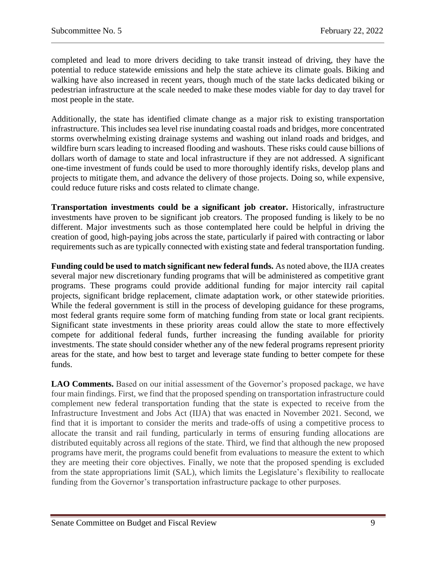completed and lead to more drivers deciding to take transit instead of driving, they have the potential to reduce statewide emissions and help the state achieve its climate goals. Biking and walking have also increased in recent years, though much of the state lacks dedicated biking or pedestrian infrastructure at the scale needed to make these modes viable for day to day travel for most people in the state.

Additionally, the state has identified climate change as a major risk to existing transportation infrastructure. This includes sea level rise inundating coastal roads and bridges, more concentrated storms overwhelming existing drainage systems and washing out inland roads and bridges, and wildfire burn scars leading to increased flooding and washouts. These risks could cause billions of dollars worth of damage to state and local infrastructure if they are not addressed. A significant one-time investment of funds could be used to more thoroughly identify risks, develop plans and projects to mitigate them, and advance the delivery of those projects. Doing so, while expensive, could reduce future risks and costs related to climate change.

**Transportation investments could be a significant job creator.** Historically, infrastructure investments have proven to be significant job creators. The proposed funding is likely to be no different. Major investments such as those contemplated here could be helpful in driving the creation of good, high-paying jobs across the state, particularly if paired with contracting or labor requirements such as are typically connected with existing state and federal transportation funding.

**Funding could be used to match significant new federal funds.** As noted above, the IIJA creates several major new discretionary funding programs that will be administered as competitive grant programs. These programs could provide additional funding for major intercity rail capital projects, significant bridge replacement, climate adaptation work, or other statewide priorities. While the federal government is still in the process of developing guidance for these programs, most federal grants require some form of matching funding from state or local grant recipients. Significant state investments in these priority areas could allow the state to more effectively compete for additional federal funds, further increasing the funding available for priority investments. The state should consider whether any of the new federal programs represent priority areas for the state, and how best to target and leverage state funding to better compete for these funds.

**LAO Comments.** Based on our initial assessment of the Governor's proposed package, we have four main findings. First, we find that the proposed spending on transportation infrastructure could complement new federal transportation funding that the state is expected to receive from the Infrastructure Investment and Jobs Act (IIJA) that was enacted in November 2021. Second, we find that it is important to consider the merits and trade-offs of using a competitive process to allocate the transit and rail funding, particularly in terms of ensuring funding allocations are distributed equitably across all regions of the state. Third, we find that although the new proposed programs have merit, the programs could benefit from evaluations to measure the extent to which they are meeting their core objectives. Finally, we note that the proposed spending is excluded from the state appropriations limit (SAL), which limits the Legislature's flexibility to reallocate funding from the Governor's transportation infrastructure package to other purposes.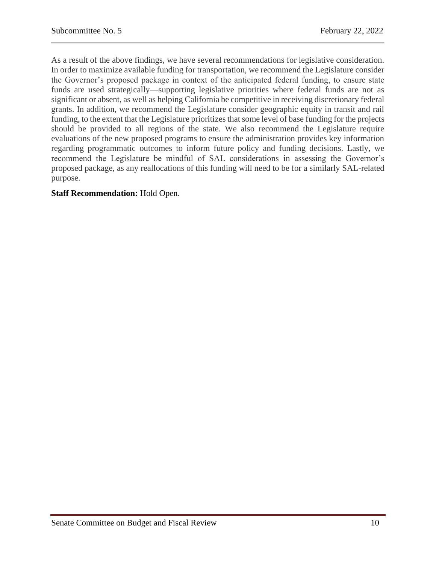As a result of the above findings, we have several recommendations for legislative consideration. In order to maximize available funding for transportation, we recommend the Legislature consider the Governor's proposed package in context of the anticipated federal funding, to ensure state funds are used strategically—supporting legislative priorities where federal funds are not as significant or absent, as well as helping California be competitive in receiving discretionary federal grants. In addition, we recommend the Legislature consider geographic equity in transit and rail funding, to the extent that the Legislature prioritizes that some level of base funding for the projects should be provided to all regions of the state. We also recommend the Legislature require evaluations of the new proposed programs to ensure the administration provides key information regarding programmatic outcomes to inform future policy and funding decisions. Lastly, we recommend the Legislature be mindful of SAL considerations in assessing the Governor's proposed package, as any reallocations of this funding will need to be for a similarly SAL-related purpose.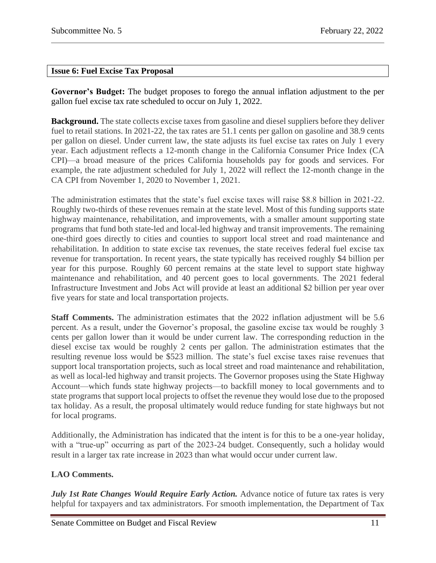#### <span id="page-10-0"></span>**Issue 6: Fuel Excise Tax Proposal**

**Governor's Budget:** The budget proposes to forego the annual inflation adjustment to the per gallon fuel excise tax rate scheduled to occur on July 1, 2022.

**Background.** The state collects excise taxes from gasoline and diesel suppliers before they deliver fuel to retail stations. In 2021-22, the tax rates are 51.1 cents per gallon on gasoline and 38.9 cents per gallon on diesel. Under current law, the state adjusts its fuel excise tax rates on July 1 every year. Each adjustment reflects a 12-month change in the California Consumer Price Index (CA CPI)—a broad measure of the prices California households pay for goods and services. For example, the rate adjustment scheduled for July 1, 2022 will reflect the 12-month change in the CA CPI from November 1, 2020 to November 1, 2021.

The administration estimates that the state's fuel excise taxes will raise \$8.8 billion in 2021-22. Roughly two-thirds of these revenues remain at the state level. Most of this funding supports state highway maintenance, rehabilitation, and improvements, with a smaller amount supporting state programs that fund both state-led and local-led highway and transit improvements. The remaining one-third goes directly to cities and counties to support local street and road maintenance and rehabilitation. In addition to state excise tax revenues, the state receives federal fuel excise tax revenue for transportation. In recent years, the state typically has received roughly \$4 billion per year for this purpose. Roughly 60 percent remains at the state level to support state highway maintenance and rehabilitation, and 40 percent goes to local governments. The 2021 federal Infrastructure Investment and Jobs Act will provide at least an additional \$2 billion per year over five years for state and local transportation projects.

**Staff Comments.** The administration estimates that the 2022 inflation adjustment will be 5.6 percent. As a result, under the Governor's proposal, the gasoline excise tax would be roughly 3 cents per gallon lower than it would be under current law. The corresponding reduction in the diesel excise tax would be roughly 2 cents per gallon. The administration estimates that the resulting revenue loss would be \$523 million. The state's fuel excise taxes raise revenues that support local transportation projects, such as local street and road maintenance and rehabilitation, as well as local-led highway and transit projects. The Governor proposes using the State Highway Account—which funds state highway projects—to backfill money to local governments and to state programs that support local projects to offset the revenue they would lose due to the proposed tax holiday. As a result, the proposal ultimately would reduce funding for state highways but not for local programs.

Additionally, the Administration has indicated that the intent is for this to be a one-year holiday, with a "true-up" occurring as part of the 2023-24 budget. Consequently, such a holiday would result in a larger tax rate increase in 2023 than what would occur under current law.

# **LAO Comments.**

*July 1st Rate Changes Would Require Early Action.* Advance notice of future tax rates is very helpful for taxpayers and tax administrators. For smooth implementation, the Department of Tax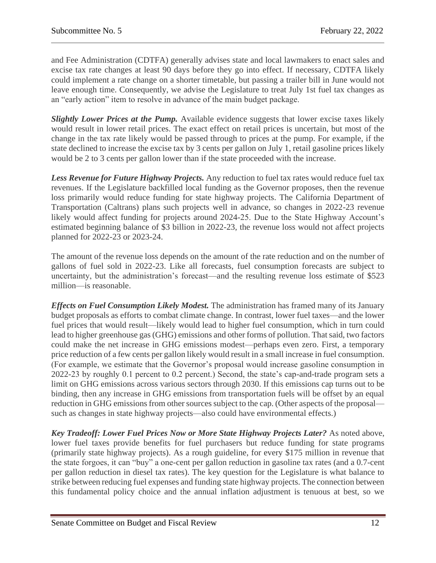and Fee Administration (CDTFA) generally advises state and local lawmakers to enact sales and excise tax rate changes at least 90 days before they go into effect. If necessary, CDTFA likely could implement a rate change on a shorter timetable, but passing a trailer bill in June would not leave enough time. Consequently, we advise the Legislature to treat July 1st fuel tax changes as an "early action" item to resolve in advance of the main budget package.

*Slightly Lower Prices at the Pump.* Available evidence suggests that lower excise taxes likely would result in lower retail prices. The exact effect on retail prices is uncertain, but most of the change in the tax rate likely would be passed through to prices at the pump. For example, if the state declined to increase the excise tax by 3 cents per gallon on July 1, retail gasoline prices likely would be 2 to 3 cents per gallon lower than if the state proceeded with the increase.

*Less Revenue for Future Highway Projects.* Any reduction to fuel tax rates would reduce fuel tax revenues. If the Legislature backfilled local funding as the Governor proposes, then the revenue loss primarily would reduce funding for state highway projects. The California Department of Transportation (Caltrans) plans such projects well in advance, so changes in 2022-23 revenue likely would affect funding for projects around 2024-25. Due to the State Highway Account's estimated beginning balance of \$3 billion in 2022-23, the revenue loss would not affect projects planned for 2022-23 or 2023-24.

The amount of the revenue loss depends on the amount of the rate reduction and on the number of gallons of fuel sold in 2022-23. Like all forecasts, fuel consumption forecasts are subject to uncertainty, but the administration's forecast—and the resulting revenue loss estimate of \$523 million—is reasonable.

*Effects on Fuel Consumption Likely Modest.* The administration has framed many of its January budget proposals as efforts to combat climate change. In contrast, lower fuel taxes—and the lower fuel prices that would result—likely would lead to higher fuel consumption, which in turn could lead to higher greenhouse gas (GHG) emissions and other forms of pollution. That said, two factors could make the net increase in GHG emissions modest—perhaps even zero. First, a temporary price reduction of a few cents per gallon likely would result in a small increase in fuel consumption. (For example, we estimate that the Governor's proposal would increase gasoline consumption in 2022-23 by roughly 0.1 percent to 0.2 percent.) Second, the state's cap-and-trade program sets a limit on GHG emissions across various sectors through 2030. If this emissions cap turns out to be binding, then any increase in GHG emissions from transportation fuels will be offset by an equal reduction in GHG emissions from other sources subject to the cap. (Other aspects of the proposal such as changes in state highway projects—also could have environmental effects.)

*Key Tradeoff: Lower Fuel Prices Now or More State Highway Projects Later?* As noted above, lower fuel taxes provide benefits for fuel purchasers but reduce funding for state programs (primarily state highway projects). As a rough guideline, for every \$175 million in revenue that the state forgoes, it can "buy" a one-cent per gallon reduction in gasoline tax rates (and a 0.7-cent per gallon reduction in diesel tax rates). The key question for the Legislature is what balance to strike between reducing fuel expenses and funding state highway projects. The connection between this fundamental policy choice and the annual inflation adjustment is tenuous at best, so we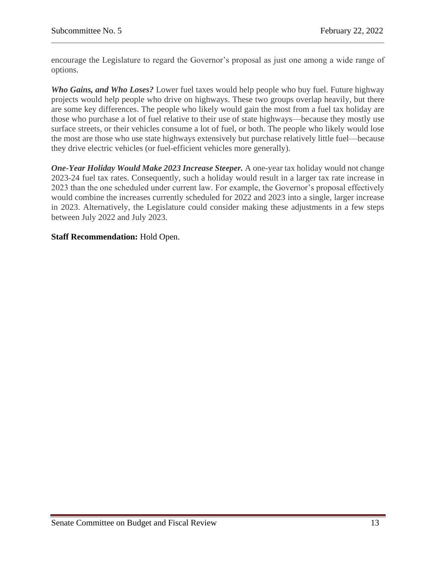encourage the Legislature to regard the Governor's proposal as just one among a wide range of options.

*Who Gains, and Who Loses?* Lower fuel taxes would help people who buy fuel. Future highway projects would help people who drive on highways. These two groups overlap heavily, but there are some key differences. The people who likely would gain the most from a fuel tax holiday are those who purchase a lot of fuel relative to their use of state highways—because they mostly use surface streets, or their vehicles consume a lot of fuel, or both. The people who likely would lose the most are those who use state highways extensively but purchase relatively little fuel—because they drive electric vehicles (or fuel-efficient vehicles more generally).

*One-Year Holiday Would Make 2023 Increase Steeper.* A one-year tax holiday would not change 2023-24 fuel tax rates. Consequently, such a holiday would result in a larger tax rate increase in 2023 than the one scheduled under current law. For example, the Governor's proposal effectively would combine the increases currently scheduled for 2022 and 2023 into a single, larger increase in 2023. Alternatively, the Legislature could consider making these adjustments in a few steps between July 2022 and July 2023.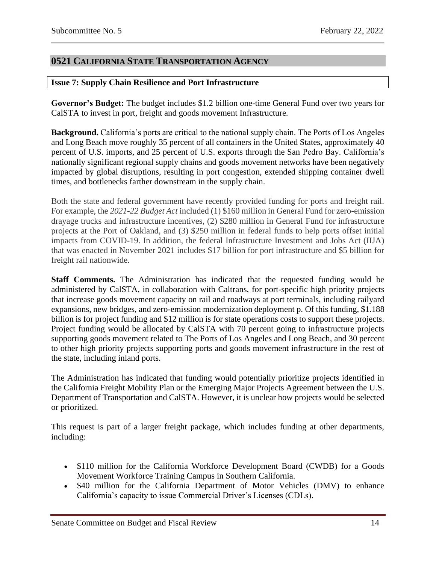# <span id="page-13-0"></span>**0521 CALIFORNIA STATE TRANSPORTATION AGENCY**

# <span id="page-13-1"></span>**Issue 7: Supply Chain Resilience and Port Infrastructure**

**Governor's Budget:** The budget includes \$1.2 billion one-time General Fund over two years for CalSTA to invest in port, freight and goods movement Infrastructure.

**Background.** California's ports are critical to the national supply chain. The Ports of Los Angeles and Long Beach move roughly 35 percent of all containers in the United States, approximately 40 percent of U.S. imports, and 25 percent of U.S. exports through the San Pedro Bay. California's nationally significant regional supply chains and goods movement networks have been negatively impacted by global disruptions, resulting in port congestion, extended shipping container dwell times, and bottlenecks farther downstream in the supply chain.

Both the state and federal government have recently provided funding for ports and freight rail. For example, the *2021-22 Budget Act* included (1) \$160 million in General Fund for zero-emission drayage trucks and infrastructure incentives, (2) \$280 million in General Fund for infrastructure projects at the Port of Oakland, and (3) \$250 million in federal funds to help ports offset initial impacts from COVID-19. In addition, the federal Infrastructure Investment and Jobs Act (IIJA) that was enacted in November 2021 includes \$17 billion for port infrastructure and \$5 billion for freight rail nationwide.

**Staff Comments.** The Administration has indicated that the requested funding would be administered by CalSTA, in collaboration with Caltrans, for port-specific high priority projects that increase goods movement capacity on rail and roadways at port terminals, including railyard expansions, new bridges, and zero-emission modernization deployment p. Of this funding, \$1.188 billion is for project funding and \$12 million is for state operations costs to support these projects. Project funding would be allocated by CalSTA with 70 percent going to infrastructure projects supporting goods movement related to The Ports of Los Angeles and Long Beach, and 30 percent to other high priority projects supporting ports and goods movement infrastructure in the rest of the state, including inland ports.

The Administration has indicated that funding would potentially prioritize projects identified in the California Freight Mobility Plan or the Emerging Major Projects Agreement between the U.S. Department of Transportation and CalSTA. However, it is unclear how projects would be selected or prioritized.

This request is part of a larger freight package, which includes funding at other departments, including:

- \$110 million for the California Workforce Development Board (CWDB) for a Goods Movement Workforce Training Campus in Southern California.
- \$40 million for the California Department of Motor Vehicles (DMV) to enhance California's capacity to issue Commercial Driver's Licenses (CDLs).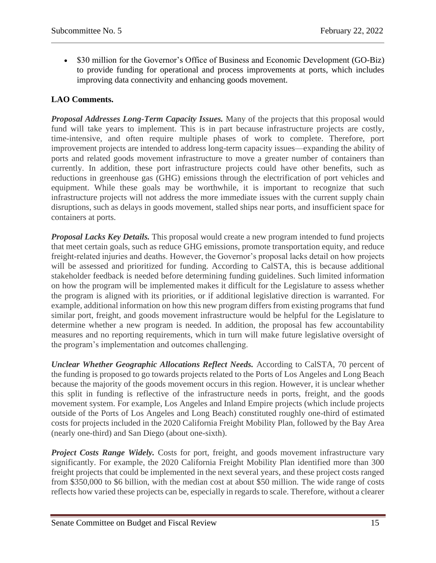• \$30 million for the Governor's Office of Business and Economic Development (GO-Biz) to provide funding for operational and process improvements at ports, which includes improving data connectivity and enhancing goods movement.

# **LAO Comments.**

**Proposal Addresses Long-Term Capacity Issues.** Many of the projects that this proposal would fund will take years to implement. This is in part because infrastructure projects are costly, time-intensive, and often require multiple phases of work to complete. Therefore, port improvement projects are intended to address long-term capacity issues—expanding the ability of ports and related goods movement infrastructure to move a greater number of containers than currently. In addition, these port infrastructure projects could have other benefits, such as reductions in greenhouse gas (GHG) emissions through the electrification of port vehicles and equipment. While these goals may be worthwhile, it is important to recognize that such infrastructure projects will not address the more immediate issues with the current supply chain disruptions, such as delays in goods movement, stalled ships near ports, and insufficient space for containers at ports.

*Proposal Lacks Key Details.* This proposal would create a new program intended to fund projects that meet certain goals, such as reduce GHG emissions, promote transportation equity, and reduce freight-related injuries and deaths. However, the Governor's proposal lacks detail on how projects will be assessed and prioritized for funding. According to CalSTA, this is because additional stakeholder feedback is needed before determining funding guidelines. Such limited information on how the program will be implemented makes it difficult for the Legislature to assess whether the program is aligned with its priorities, or if additional legislative direction is warranted. For example, additional information on how this new program differs from existing programs that fund similar port, freight, and goods movement infrastructure would be helpful for the Legislature to determine whether a new program is needed. In addition, the proposal has few accountability measures and no reporting requirements, which in turn will make future legislative oversight of the program's implementation and outcomes challenging.

*Unclear Whether Geographic Allocations Reflect Needs. According to CalSTA, 70 percent of* the funding is proposed to go towards projects related to the Ports of Los Angeles and Long Beach because the majority of the goods movement occurs in this region. However, it is unclear whether this split in funding is reflective of the infrastructure needs in ports, freight, and the goods movement system. For example, Los Angeles and Inland Empire projects (which include projects outside of the Ports of Los Angeles and Long Beach) constituted roughly one-third of estimated costs for projects included in the 2020 California Freight Mobility Plan, followed by the Bay Area (nearly one-third) and San Diego (about one-sixth).

*Project Costs Range Widely.* Costs for port, freight, and goods movement infrastructure vary significantly. For example, the 2020 California Freight Mobility Plan identified more than 300 freight projects that could be implemented in the next several years, and these project costs ranged from \$350,000 to \$6 billion, with the median cost at about \$50 million. The wide range of costs reflects how varied these projects can be, especially in regards to scale. Therefore, without a clearer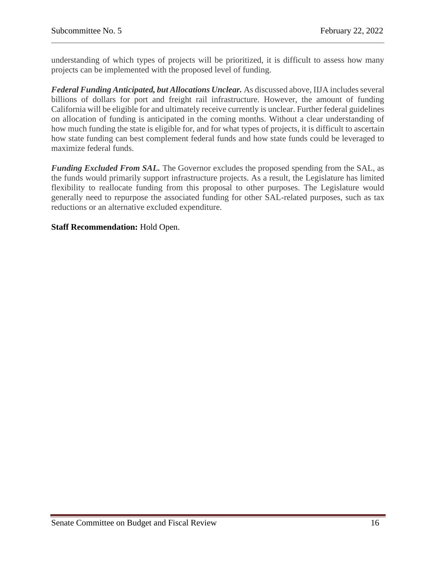understanding of which types of projects will be prioritized, it is difficult to assess how many projects can be implemented with the proposed level of funding.

*Federal Funding Anticipated, but Allocations Unclear.* As discussed above, IIJA includes several billions of dollars for port and freight rail infrastructure. However, the amount of funding California will be eligible for and ultimately receive currently is unclear. Further federal guidelines on allocation of funding is anticipated in the coming months. Without a clear understanding of how much funding the state is eligible for, and for what types of projects, it is difficult to ascertain how state funding can best complement federal funds and how state funds could be leveraged to maximize federal funds.

*Funding Excluded From SAL.* The Governor excludes the proposed spending from the SAL, as the funds would primarily support infrastructure projects. As a result, the Legislature has limited flexibility to reallocate funding from this proposal to other purposes. The Legislature would generally need to repurpose the associated funding for other SAL-related purposes, such as tax reductions or an alternative excluded expenditure.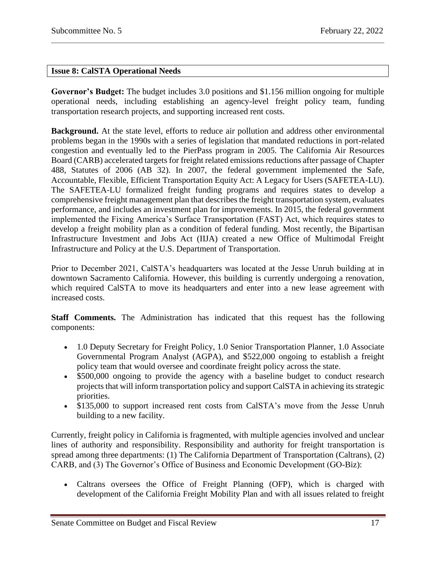### <span id="page-16-0"></span>**Issue 8: CalSTA Operational Needs**

**Governor's Budget:** The budget includes 3.0 positions and \$1.156 million ongoing for multiple operational needs, including establishing an agency-level freight policy team, funding transportation research projects, and supporting increased rent costs.

**Background.** At the state level, efforts to reduce air pollution and address other environmental problems began in the 1990s with a series of legislation that mandated reductions in port-related congestion and eventually led to the PierPass program in 2005. The California Air Resources Board (CARB) accelerated targets for freight related emissions reductions after passage of Chapter 488, Statutes of 2006 (AB 32). In 2007, the federal government implemented the Safe, Accountable, Flexible, Efficient Transportation Equity Act: A Legacy for Users (SAFETEA-LU). The SAFETEA-LU formalized freight funding programs and requires states to develop a comprehensive freight management plan that describes the freight transportation system, evaluates performance, and includes an investment plan for improvements. In 2015, the federal government implemented the Fixing America's Surface Transportation (FAST) Act, which requires states to develop a freight mobility plan as a condition of federal funding. Most recently, the Bipartisan Infrastructure Investment and Jobs Act (IIJA) created a new Office of Multimodal Freight Infrastructure and Policy at the U.S. Department of Transportation.

Prior to December 2021, CalSTA's headquarters was located at the Jesse Unruh building at in downtown Sacramento California. However, this building is currently undergoing a renovation, which required CalSTA to move its headquarters and enter into a new lease agreement with increased costs.

**Staff Comments.** The Administration has indicated that this request has the following components:

- 1.0 Deputy Secretary for Freight Policy, 1.0 Senior Transportation Planner, 1.0 Associate Governmental Program Analyst (AGPA), and \$522,000 ongoing to establish a freight policy team that would oversee and coordinate freight policy across the state.
- \$500,000 ongoing to provide the agency with a baseline budget to conduct research projects that will inform transportation policy and support CalSTA in achieving its strategic priorities.
- \$135,000 to support increased rent costs from CalSTA's move from the Jesse Unruh building to a new facility.

Currently, freight policy in California is fragmented, with multiple agencies involved and unclear lines of authority and responsibility. Responsibility and authority for freight transportation is spread among three departments: (1) The California Department of Transportation (Caltrans), (2) CARB, and (3) The Governor's Office of Business and Economic Development (GO-Biz):

• Caltrans oversees the Office of Freight Planning (OFP), which is charged with development of the California Freight Mobility Plan and with all issues related to freight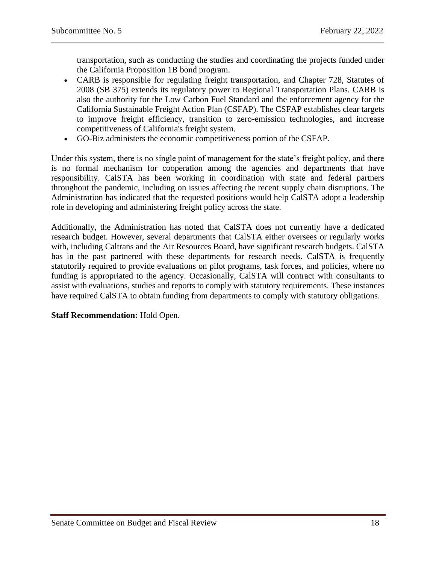transportation, such as conducting the studies and coordinating the projects funded under the California Proposition 1B bond program.

- CARB is responsible for regulating freight transportation, and Chapter 728, Statutes of 2008 (SB 375) extends its regulatory power to Regional Transportation Plans. CARB is also the authority for the Low Carbon Fuel Standard and the enforcement agency for the California Sustainable Freight Action Plan (CSFAP). The CSFAP establishes clear targets to improve freight efficiency, transition to zero-emission technologies, and increase competitiveness of California's freight system.
- GO-Biz administers the economic competitiveness portion of the CSFAP.

Under this system, there is no single point of management for the state's freight policy, and there is no formal mechanism for cooperation among the agencies and departments that have responsibility. CalSTA has been working in coordination with state and federal partners throughout the pandemic, including on issues affecting the recent supply chain disruptions. The Administration has indicated that the requested positions would help CalSTA adopt a leadership role in developing and administering freight policy across the state.

Additionally, the Administration has noted that CalSTA does not currently have a dedicated research budget. However, several departments that CalSTA either oversees or regularly works with, including Caltrans and the Air Resources Board, have significant research budgets. CalSTA has in the past partnered with these departments for research needs. CalSTA is frequently statutorily required to provide evaluations on pilot programs, task forces, and policies, where no funding is appropriated to the agency. Occasionally, CalSTA will contract with consultants to assist with evaluations, studies and reports to comply with statutory requirements. These instances have required CalSTA to obtain funding from departments to comply with statutory obligations.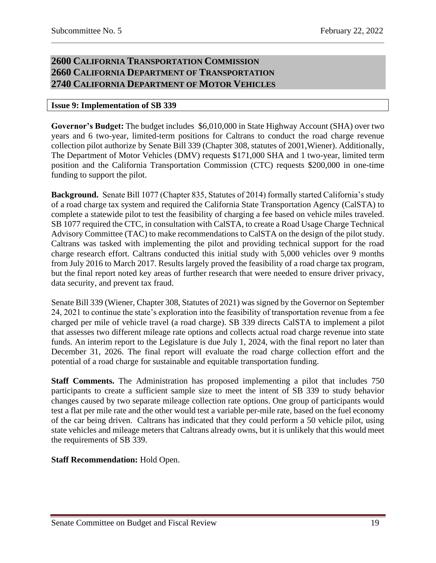# <span id="page-18-2"></span><span id="page-18-1"></span><span id="page-18-0"></span>**2600 CALIFORNIA TRANSPORTATION COMMISSION 2660 CALIFORNIA DEPARTMENT OF TRANSPORTATION 2740 CALIFORNIA DEPARTMENT OF MOTOR VEHICLES**

#### <span id="page-18-3"></span>**Issue 9: Implementation of SB 339**

**Governor's Budget:** The budget includes \$6,010,000 in State Highway Account (SHA) over two years and 6 two-year, limited-term positions for Caltrans to conduct the road charge revenue collection pilot authorize by Senate Bill 339 (Chapter 308, statutes of 2001,Wiener). Additionally, The Department of Motor Vehicles (DMV) requests \$171,000 SHA and 1 two-year, limited term position and the California Transportation Commission (CTC) requests \$200,000 in one-time funding to support the pilot.

**Background.** Senate Bill 1077 (Chapter 835, Statutes of 2014) formally started California's study of a road charge tax system and required the California State Transportation Agency (CalSTA) to complete a statewide pilot to test the feasibility of charging a fee based on vehicle miles traveled. SB 1077 required the CTC, in consultation with CalSTA, to create a Road Usage Charge Technical Advisory Committee (TAC) to make recommendations to CalSTA on the design of the pilot study. Caltrans was tasked with implementing the pilot and providing technical support for the road charge research effort. Caltrans conducted this initial study with 5,000 vehicles over 9 months from July 2016 to March 2017. Results largely proved the feasibility of a road charge tax program, but the final report noted key areas of further research that were needed to ensure driver privacy, data security, and prevent tax fraud.

Senate Bill 339 (Wiener, Chapter 308, Statutes of 2021) was signed by the Governor on September 24, 2021 to continue the state's exploration into the feasibility of transportation revenue from a fee charged per mile of vehicle travel (a road charge). SB 339 directs CalSTA to implement a pilot that assesses two different mileage rate options and collects actual road charge revenue into state funds. An interim report to the Legislature is due July 1, 2024, with the final report no later than December 31, 2026. The final report will evaluate the road charge collection effort and the potential of a road charge for sustainable and equitable transportation funding.

**Staff Comments.** The Administration has proposed implementing a pilot that includes 750 participants to create a sufficient sample size to meet the intent of SB 339 to study behavior changes caused by two separate mileage collection rate options. One group of participants would test a flat per mile rate and the other would test a variable per-mile rate, based on the fuel economy of the car being driven. Caltrans has indicated that they could perform a 50 vehicle pilot, using state vehicles and mileage meters that Caltrans already owns, but it is unlikely that this would meet the requirements of SB 339.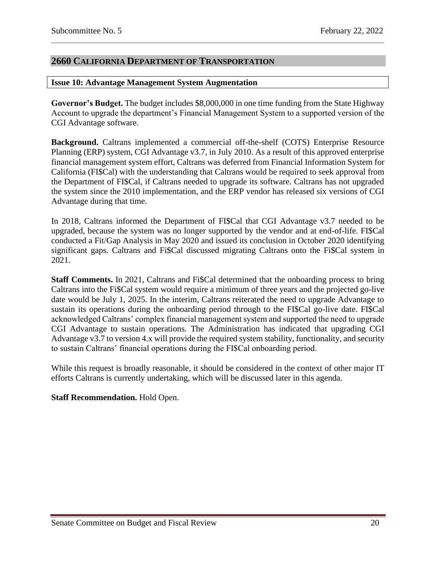# <span id="page-19-0"></span>**2660 CALIFORNIA DEPARTMENT OF TRANSPORTATION**

### <span id="page-19-1"></span>**Issue 10: Advantage Management System Augmentation**

**Governor's Budget.** The budget includes \$8,000,000 in one time funding from the State Highway Account to upgrade the department's Financial Management System to a supported version of the CGI Advantage software.

**Background.** Caltrans implemented a commercial off-the-shelf (COTS) Enterprise Resource Planning (ERP) system, CGI Advantage v3.7, in July 2010. As a result of this approved enterprise financial management system effort, Caltrans was deferred from Financial Information System for California (FI\$Cal) with the understanding that Caltrans would be required to seek approval from the Department of FI\$Cal, if Caltrans needed to upgrade its software. Caltrans has not upgraded the system since the 2010 implementation, and the ERP vendor has released six versions of CGI Advantage during that time.

In 2018, Caltrans informed the Department of FI\$Cal that CGI Advantage v3.7 needed to be upgraded, because the system was no longer supported by the vendor and at end-of-life. FI\$Cal conducted a Fit/Gap Analysis in May 2020 and issued its conclusion in October 2020 identifying significant gaps. Caltrans and Fi\$Cal discussed migrating Caltrans onto the Fi\$Cal system in 2021.

**Staff Comments.** In 2021, Caltrans and Fi\$Cal determined that the onboarding process to bring Caltrans into the Fi\$Cal system would require a minimum of three years and the projected go-live date would be July 1, 2025. In the interim, Caltrans reiterated the need to upgrade Advantage to sustain its operations during the onboarding period through to the FI\$Cal go-live date. FI\$Cal acknowledged Caltrans' complex financial management system and supported the need to upgrade CGI Advantage to sustain operations. The Administration has indicated that upgrading CGI Advantage v3.7 to version 4.x will provide the required system stability, functionality, and security to sustain Caltrans' financial operations during the FI\$Cal onboarding period.

While this request is broadly reasonable, it should be considered in the context of other major IT efforts Caltrans is currently undertaking, which will be discussed later in this agenda.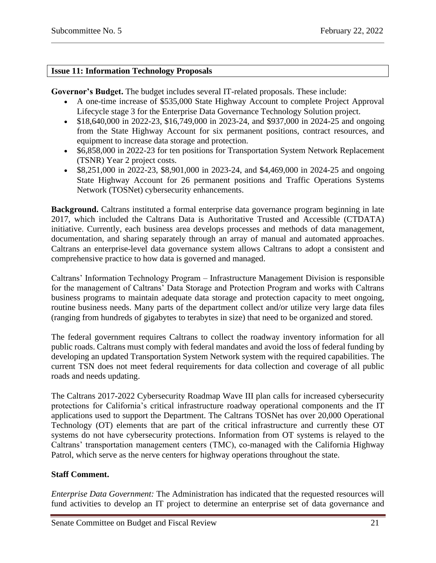#### <span id="page-20-0"></span>**Issue 11: Information Technology Proposals**

#### **Governor's Budget.** The budget includes several IT-related proposals. These include:

- A one-time increase of \$535,000 State Highway Account to complete Project Approval Lifecycle stage 3 for the Enterprise Data Governance Technology Solution project.
- \$18,640,000 in 2022-23, \$16,749,000 in 2023-24, and \$937,000 in 2024-25 and ongoing from the State Highway Account for six permanent positions, contract resources, and equipment to increase data storage and protection.
- \$6,858,000 in 2022-23 for ten positions for Transportation System Network Replacement (TSNR) Year 2 project costs.
- \$8,251,000 in 2022-23, \$8,901,000 in 2023-24, and \$4,469,000 in 2024-25 and ongoing State Highway Account for 26 permanent positions and Traffic Operations Systems Network (TOSNet) cybersecurity enhancements.

**Background.** Caltrans instituted a formal enterprise data governance program beginning in late 2017, which included the Caltrans Data is Authoritative Trusted and Accessible (CTDATA) initiative. Currently, each business area develops processes and methods of data management, documentation, and sharing separately through an array of manual and automated approaches. Caltrans an enterprise-level data governance system allows Caltrans to adopt a consistent and comprehensive practice to how data is governed and managed.

Caltrans' Information Technology Program – Infrastructure Management Division is responsible for the management of Caltrans' Data Storage and Protection Program and works with Caltrans business programs to maintain adequate data storage and protection capacity to meet ongoing, routine business needs. Many parts of the department collect and/or utilize very large data files (ranging from hundreds of gigabytes to terabytes in size) that need to be organized and stored.

The federal government requires Caltrans to collect the roadway inventory information for all public roads. Caltrans must comply with federal mandates and avoid the loss of federal funding by developing an updated Transportation System Network system with the required capabilities. The current TSN does not meet federal requirements for data collection and coverage of all public roads and needs updating.

The Caltrans 2017-2022 Cybersecurity Roadmap Wave III plan calls for increased cybersecurity protections for California's critical infrastructure roadway operational components and the IT applications used to support the Department. The Caltrans TOSNet has over 20,000 Operational Technology (OT) elements that are part of the critical infrastructure and currently these OT systems do not have cybersecurity protections. Information from OT systems is relayed to the Caltrans' transportation management centers (TMC), co-managed with the California Highway Patrol, which serve as the nerve centers for highway operations throughout the state.

# **Staff Comment.**

*Enterprise Data Government:* The Administration has indicated that the requested resources will fund activities to develop an IT project to determine an enterprise set of data governance and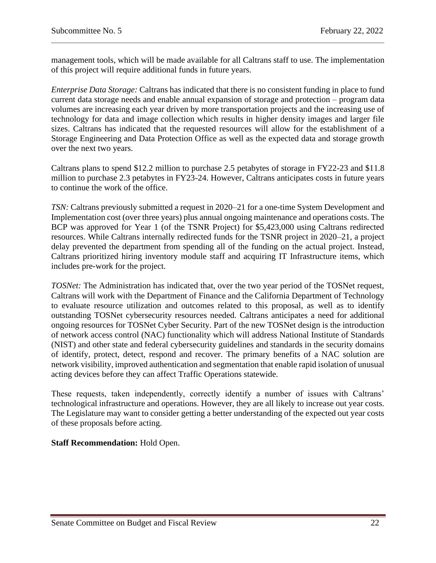management tools, which will be made available for all Caltrans staff to use. The implementation of this project will require additional funds in future years.

*Enterprise Data Storage:* Caltrans has indicated that there is no consistent funding in place to fund current data storage needs and enable annual expansion of storage and protection – program data volumes are increasing each year driven by more transportation projects and the increasing use of technology for data and image collection which results in higher density images and larger file sizes. Caltrans has indicated that the requested resources will allow for the establishment of a Storage Engineering and Data Protection Office as well as the expected data and storage growth over the next two years.

Caltrans plans to spend \$12.2 million to purchase 2.5 petabytes of storage in FY22-23 and \$11.8 million to purchase 2.3 petabytes in FY23-24. However, Caltrans anticipates costs in future years to continue the work of the office.

*TSN:* Caltrans previously submitted a request in 2020–21 for a one-time System Development and Implementation cost (over three years) plus annual ongoing maintenance and operations costs. The BCP was approved for Year 1 (of the TSNR Project) for \$5,423,000 using Caltrans redirected resources. While Caltrans internally redirected funds for the TSNR project in 2020–21, a project delay prevented the department from spending all of the funding on the actual project. Instead, Caltrans prioritized hiring inventory module staff and acquiring IT Infrastructure items, which includes pre-work for the project.

*TOSNet:* The Administration has indicated that, over the two year period of the TOSNet request, Caltrans will work with the Department of Finance and the California Department of Technology to evaluate resource utilization and outcomes related to this proposal, as well as to identify outstanding TOSNet cybersecurity resources needed. Caltrans anticipates a need for additional ongoing resources for TOSNet Cyber Security. Part of the new TOSNet design is the introduction of network access control (NAC) functionality which will address National Institute of Standards (NIST) and other state and federal cybersecurity guidelines and standards in the security domains of identify, protect, detect, respond and recover. The primary benefits of a NAC solution are network visibility, improved authentication and segmentation that enable rapid isolation of unusual acting devices before they can affect Traffic Operations statewide.

These requests, taken independently, correctly identify a number of issues with Caltrans' technological infrastructure and operations. However, they are all likely to increase out year costs. The Legislature may want to consider getting a better understanding of the expected out year costs of these proposals before acting.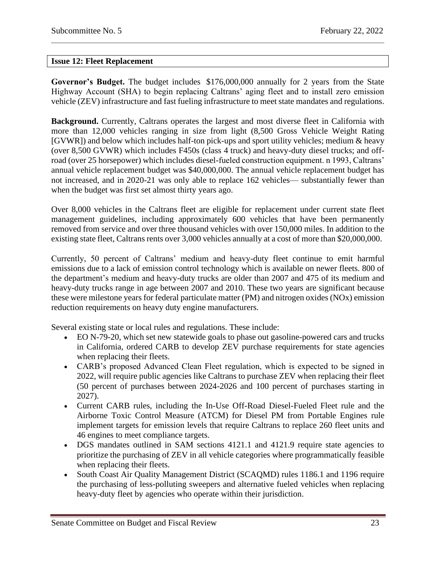#### <span id="page-22-0"></span>**Issue 12: Fleet Replacement**

**Governor's Budget.** The budget includes \$176,000,000 annually for 2 years from the State Highway Account (SHA) to begin replacing Caltrans' aging fleet and to install zero emission vehicle (ZEV) infrastructure and fast fueling infrastructure to meet state mandates and regulations.

**Background.** Currently, Caltrans operates the largest and most diverse fleet in California with more than 12,000 vehicles ranging in size from light (8,500 Gross Vehicle Weight Rating [GVWR]) and below which includes half-ton pick-ups and sport utility vehicles; medium & heavy (over 8,500 GVWR) which includes F450s (class 4 truck) and heavy-duty diesel trucks; and offroad (over 25 horsepower) which includes diesel-fueled construction equipment. n 1993, Caltrans' annual vehicle replacement budget was \$40,000,000. The annual vehicle replacement budget has not increased, and in 2020-21 was only able to replace 162 vehicles— substantially fewer than when the budget was first set almost thirty years ago.

Over 8,000 vehicles in the Caltrans fleet are eligible for replacement under current state fleet management guidelines, including approximately 600 vehicles that have been permanently removed from service and over three thousand vehicles with over 150,000 miles. In addition to the existing state fleet, Caltrans rents over 3,000 vehicles annually at a cost of more than \$20,000,000.

Currently, 50 percent of Caltrans' medium and heavy-duty fleet continue to emit harmful emissions due to a lack of emission control technology which is available on newer fleets. 800 of the department's medium and heavy-duty trucks are older than 2007 and 475 of its medium and heavy-duty trucks range in age between 2007 and 2010. These two years are significant because these were milestone years for federal particulate matter (PM) and nitrogen oxides (NOx) emission reduction requirements on heavy duty engine manufacturers.

Several existing state or local rules and regulations. These include:

- EO N-79-20, which set new statewide goals to phase out gasoline-powered cars and trucks in California, ordered CARB to develop ZEV purchase requirements for state agencies when replacing their fleets.
- CARB's proposed Advanced Clean Fleet regulation, which is expected to be signed in 2022, will require public agencies like Caltrans to purchase ZEV when replacing their fleet (50 percent of purchases between 2024-2026 and 100 percent of purchases starting in 2027).
- Current CARB rules, including the In-Use Off-Road Diesel-Fueled Fleet rule and the Airborne Toxic Control Measure (ATCM) for Diesel PM from Portable Engines rule implement targets for emission levels that require Caltrans to replace 260 fleet units and 46 engines to meet compliance targets.
- DGS mandates outlined in SAM sections 4121.1 and 4121.9 require state agencies to prioritize the purchasing of ZEV in all vehicle categories where programmatically feasible when replacing their fleets.
- South Coast Air Quality Management District (SCAQMD) rules 1186.1 and 1196 require the purchasing of less-polluting sweepers and alternative fueled vehicles when replacing heavy-duty fleet by agencies who operate within their jurisdiction.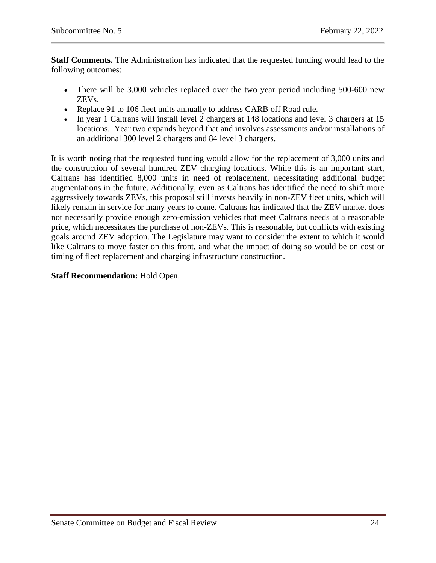**Staff Comments.** The Administration has indicated that the requested funding would lead to the following outcomes:

- There will be 3,000 vehicles replaced over the two year period including 500-600 new ZEVs.
- Replace 91 to 106 fleet units annually to address CARB off Road rule.
- In year 1 Caltrans will install level 2 chargers at 148 locations and level 3 chargers at 15 locations. Year two expands beyond that and involves assessments and/or installations of an additional 300 level 2 chargers and 84 level 3 chargers.

It is worth noting that the requested funding would allow for the replacement of 3,000 units and the construction of several hundred ZEV charging locations. While this is an important start, Caltrans has identified 8,000 units in need of replacement, necessitating additional budget augmentations in the future. Additionally, even as Caltrans has identified the need to shift more aggressively towards ZEVs, this proposal still invests heavily in non-ZEV fleet units, which will likely remain in service for many years to come. Caltrans has indicated that the ZEV market does not necessarily provide enough zero-emission vehicles that meet Caltrans needs at a reasonable price, which necessitates the purchase of non-ZEVs. This is reasonable, but conflicts with existing goals around ZEV adoption. The Legislature may want to consider the extent to which it would like Caltrans to move faster on this front, and what the impact of doing so would be on cost or timing of fleet replacement and charging infrastructure construction.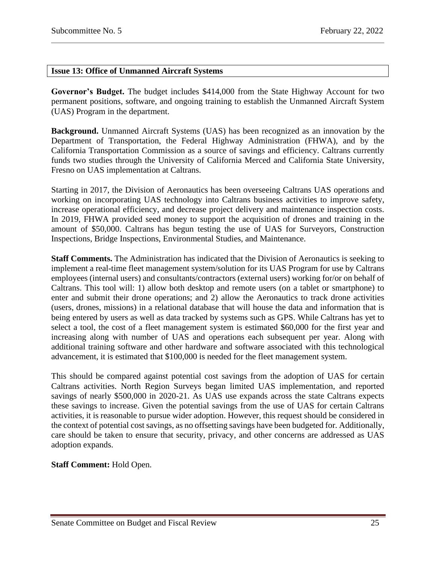#### <span id="page-24-0"></span>**Issue 13: Office of Unmanned Aircraft Systems**

**Governor's Budget.** The budget includes \$414,000 from the State Highway Account for two permanent positions, software, and ongoing training to establish the Unmanned Aircraft System (UAS) Program in the department.

**Background.** Unmanned Aircraft Systems (UAS) has been recognized as an innovation by the Department of Transportation, the Federal Highway Administration (FHWA), and by the California Transportation Commission as a source of savings and efficiency. Caltrans currently funds two studies through the University of California Merced and California State University, Fresno on UAS implementation at Caltrans.

Starting in 2017, the Division of Aeronautics has been overseeing Caltrans UAS operations and working on incorporating UAS technology into Caltrans business activities to improve safety, increase operational efficiency, and decrease project delivery and maintenance inspection costs. In 2019, FHWA provided seed money to support the acquisition of drones and training in the amount of \$50,000. Caltrans has begun testing the use of UAS for Surveyors, Construction Inspections, Bridge Inspections, Environmental Studies, and Maintenance.

**Staff Comments.** The Administration has indicated that the Division of Aeronautics is seeking to implement a real-time fleet management system/solution for its UAS Program for use by Caltrans employees (internal users) and consultants/contractors (external users) working for/or on behalf of Caltrans. This tool will: 1) allow both desktop and remote users (on a tablet or smartphone) to enter and submit their drone operations; and 2) allow the Aeronautics to track drone activities (users, drones, missions) in a relational database that will house the data and information that is being entered by users as well as data tracked by systems such as GPS. While Caltrans has yet to select a tool, the cost of a fleet management system is estimated \$60,000 for the first year and increasing along with number of UAS and operations each subsequent per year. Along with additional training software and other hardware and software associated with this technological advancement, it is estimated that \$100,000 is needed for the fleet management system.

This should be compared against potential cost savings from the adoption of UAS for certain Caltrans activities. North Region Surveys began limited UAS implementation, and reported savings of nearly \$500,000 in 2020-21. As UAS use expands across the state Caltrans expects these savings to increase. Given the potential savings from the use of UAS for certain Caltrans activities, it is reasonable to pursue wider adoption. However, this request should be considered in the context of potential cost savings, as no offsetting savings have been budgeted for. Additionally, care should be taken to ensure that security, privacy, and other concerns are addressed as UAS adoption expands.

#### **Staff Comment:** Hold Open.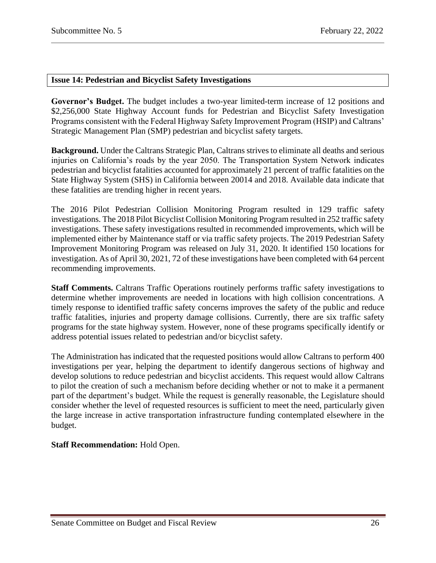#### <span id="page-25-0"></span>**Issue 14: Pedestrian and Bicyclist Safety Investigations**

**Governor's Budget.** The budget includes a two-year limited-term increase of 12 positions and \$2,256,000 State Highway Account funds for Pedestrian and Bicyclist Safety Investigation Programs consistent with the Federal Highway Safety Improvement Program (HSIP) and Caltrans' Strategic Management Plan (SMP) pedestrian and bicyclist safety targets.

**Background.** Under the Caltrans Strategic Plan, Caltrans strives to eliminate all deaths and serious injuries on California's roads by the year 2050. The Transportation System Network indicates pedestrian and bicyclist fatalities accounted for approximately 21 percent of traffic fatalities on the State Highway System (SHS) in California between 20014 and 2018. Available data indicate that these fatalities are trending higher in recent years.

The 2016 Pilot Pedestrian Collision Monitoring Program resulted in 129 traffic safety investigations. The 2018 Pilot Bicyclist Collision Monitoring Program resulted in 252 traffic safety investigations. These safety investigations resulted in recommended improvements, which will be implemented either by Maintenance staff or via traffic safety projects. The 2019 Pedestrian Safety Improvement Monitoring Program was released on July 31, 2020. It identified 150 locations for investigation. As of April 30, 2021, 72 of these investigations have been completed with 64 percent recommending improvements.

**Staff Comments.** Caltrans Traffic Operations routinely performs traffic safety investigations to determine whether improvements are needed in locations with high collision concentrations. A timely response to identified traffic safety concerns improves the safety of the public and reduce traffic fatalities, injuries and property damage collisions. Currently, there are six traffic safety programs for the state highway system. However, none of these programs specifically identify or address potential issues related to pedestrian and/or bicyclist safety.

The Administration has indicated that the requested positions would allow Caltrans to perform 400 investigations per year, helping the department to identify dangerous sections of highway and develop solutions to reduce pedestrian and bicyclist accidents. This request would allow Caltrans to pilot the creation of such a mechanism before deciding whether or not to make it a permanent part of the department's budget. While the request is generally reasonable, the Legislature should consider whether the level of requested resources is sufficient to meet the need, particularly given the large increase in active transportation infrastructure funding contemplated elsewhere in the budget.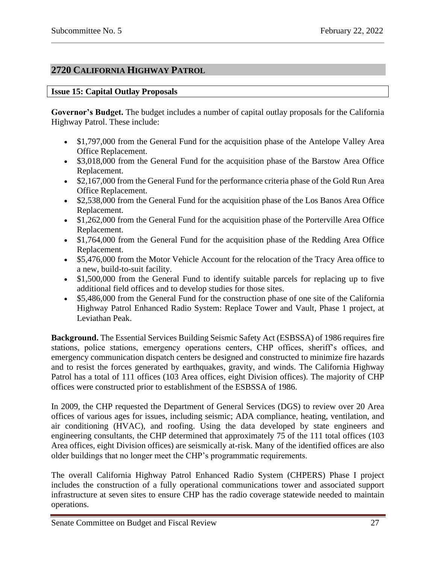# <span id="page-26-0"></span>**2720 CALIFORNIA HIGHWAY PATROL**

#### <span id="page-26-1"></span>**Issue 15: Capital Outlay Proposals**

**Governor's Budget.** The budget includes a number of capital outlay proposals for the California Highway Patrol. These include:

- \$1,797,000 from the General Fund for the acquisition phase of the Antelope Valley Area Office Replacement.
- \$3,018,000 from the General Fund for the acquisition phase of the Barstow Area Office Replacement.
- \$2,167,000 from the General Fund for the performance criteria phase of the Gold Run Area Office Replacement.
- \$2,538,000 from the General Fund for the acquisition phase of the Los Banos Area Office Replacement.
- \$1,262,000 from the General Fund for the acquisition phase of the Porterville Area Office Replacement.
- \$1,764,000 from the General Fund for the acquisition phase of the Redding Area Office Replacement.
- \$5,476,000 from the Motor Vehicle Account for the relocation of the Tracy Area office to a new, build-to-suit facility.
- \$1,500,000 from the General Fund to identify suitable parcels for replacing up to five additional field offices and to develop studies for those sites.
- \$5,486,000 from the General Fund for the construction phase of one site of the California Highway Patrol Enhanced Radio System: Replace Tower and Vault, Phase 1 project, at Leviathan Peak.

**Background.** The Essential Services Building Seismic Safety Act (ESBSSA) of 1986 requires fire stations, police stations, emergency operations centers, CHP offices, sheriff's offices, and emergency communication dispatch centers be designed and constructed to minimize fire hazards and to resist the forces generated by earthquakes, gravity, and winds. The California Highway Patrol has a total of 111 offices (103 Area offices, eight Division offices). The majority of CHP offices were constructed prior to establishment of the ESBSSA of 1986.

In 2009, the CHP requested the Department of General Services (DGS) to review over 20 Area offices of various ages for issues, including seismic; ADA compliance, heating, ventilation, and air conditioning (HVAC), and roofing. Using the data developed by state engineers and engineering consultants, the CHP determined that approximately 75 of the 111 total offices (103 Area offices, eight Division offices) are seismically at-risk. Many of the identified offices are also older buildings that no longer meet the CHP's programmatic requirements.

The overall California Highway Patrol Enhanced Radio System (CHPERS) Phase I project includes the construction of a fully operational communications tower and associated support infrastructure at seven sites to ensure CHP has the radio coverage statewide needed to maintain operations.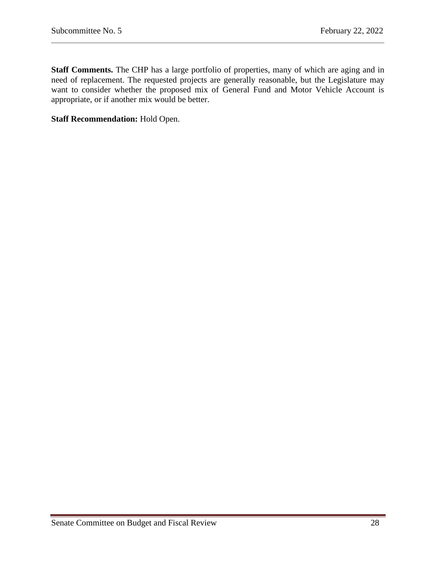**Staff Comments.** The CHP has a large portfolio of properties, many of which are aging and in need of replacement. The requested projects are generally reasonable, but the Legislature may want to consider whether the proposed mix of General Fund and Motor Vehicle Account is appropriate, or if another mix would be better.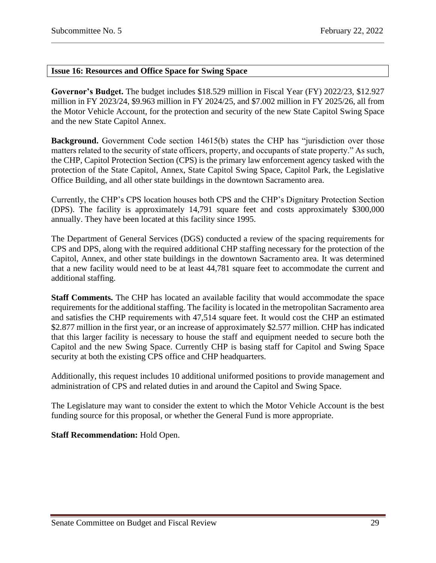#### <span id="page-28-0"></span>**Issue 16: Resources and Office Space for Swing Space**

**Governor's Budget.** The budget includes \$18.529 million in Fiscal Year (FY) 2022/23, \$12.927 million in FY 2023/24, \$9.963 million in FY 2024/25, and \$7.002 million in FY 2025/26, all from the Motor Vehicle Account, for the protection and security of the new State Capitol Swing Space and the new State Capitol Annex.

**Background.** Government Code section 14615(b) states the CHP has "jurisdiction over those matters related to the security of state officers, property, and occupants of state property." As such, the CHP, Capitol Protection Section (CPS) is the primary law enforcement agency tasked with the protection of the State Capitol, Annex, State Capitol Swing Space, Capitol Park, the Legislative Office Building, and all other state buildings in the downtown Sacramento area.

Currently, the CHP's CPS location houses both CPS and the CHP's Dignitary Protection Section (DPS). The facility is approximately 14,791 square feet and costs approximately \$300,000 annually. They have been located at this facility since 1995.

The Department of General Services (DGS) conducted a review of the spacing requirements for CPS and DPS, along with the required additional CHP staffing necessary for the protection of the Capitol, Annex, and other state buildings in the downtown Sacramento area. It was determined that a new facility would need to be at least 44,781 square feet to accommodate the current and additional staffing.

**Staff Comments.** The CHP has located an available facility that would accommodate the space requirements for the additional staffing. The facility is located in the metropolitan Sacramento area and satisfies the CHP requirements with 47,514 square feet. It would cost the CHP an estimated \$2.877 million in the first year, or an increase of approximately \$2.577 million. CHP has indicated that this larger facility is necessary to house the staff and equipment needed to secure both the Capitol and the new Swing Space. Currently CHP is basing staff for Capitol and Swing Space security at both the existing CPS office and CHP headquarters.

Additionally, this request includes 10 additional uniformed positions to provide management and administration of CPS and related duties in and around the Capitol and Swing Space.

The Legislature may want to consider the extent to which the Motor Vehicle Account is the best funding source for this proposal, or whether the General Fund is more appropriate.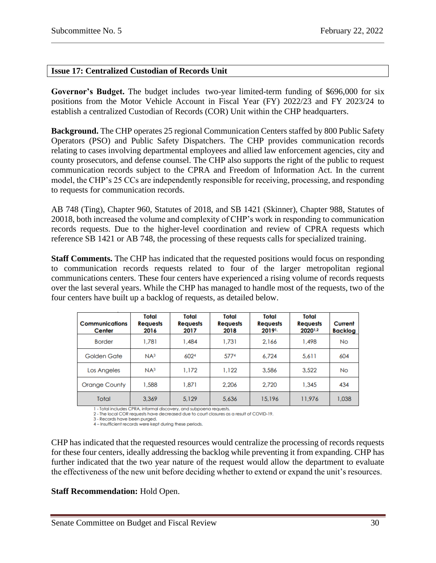### <span id="page-29-0"></span>**Issue 17: Centralized Custodian of Records Unit**

**Governor's Budget.** The budget includes two-year limited-term funding of \$696,000 for six positions from the Motor Vehicle Account in Fiscal Year (FY) 2022/23 and FY 2023/24 to establish a centralized Custodian of Records (COR) Unit within the CHP headquarters.

**Background.** The CHP operates 25 regional Communication Centers staffed by 800 Public Safety Operators (PSO) and Public Safety Dispatchers. The CHP provides communication records relating to cases involving departmental employees and allied law enforcement agencies, city and county prosecutors, and defense counsel. The CHP also supports the right of the public to request communication records subject to the CPRA and Freedom of Information Act. In the current model, the CHP's 25 CCs are independently responsible for receiving, processing, and responding to requests for communication records.

AB 748 (Ting), Chapter 960, Statutes of 2018, and SB 1421 (Skinner), Chapter 988, Statutes of 20018, both increased the volume and complexity of CHP's work in responding to communication records requests. Due to the higher-level coordination and review of CPRA requests which reference SB 1421 or AB 748, the processing of these requests calls for specialized training.

**Staff Comments.** The CHP has indicated that the requested positions would focus on responding to communication records requests related to four of the larger metropolitan regional communications centers. These four centers have experienced a rising volume of records requests over the last several years. While the CHP has managed to handle most of the requests, two of the four centers have built up a backlog of requests, as detailed below.

| <b>Communications</b><br>Center | Total<br><b>Requests</b><br>2016 | Total<br><b>Requests</b><br>2017 | Total<br><b>Requests</b><br>2018 | Total<br><b>Requests</b><br>20191. | Total<br><b>Requests</b><br>20201.2 | Current<br><b>Backlog</b> |
|---------------------------------|----------------------------------|----------------------------------|----------------------------------|------------------------------------|-------------------------------------|---------------------------|
| <b>Border</b>                   | 1.781                            | 1,484                            | 1,731                            | 2.166                              | 1,498                               | <b>No</b>                 |
| Golden Gate                     | NA <sup>3</sup>                  | 6024                             | 5774                             | 6.724                              | 5.611                               | 604                       |
| Los Angeles                     | NA <sup>3</sup>                  | 1,172                            | 1,122                            | 3,586                              | 3,522                               | <b>No</b>                 |
| <b>Orange County</b>            | 1,588                            | 1.871                            | 2.206                            | 2.720                              | 1.345                               | 434                       |
| Total                           | 3.369                            | 5,129                            | 5,636                            | 15,196                             | 11,976                              | 1,038                     |

1 - Total includes CPRA, informal discovery, and subpoena requests.

2 - The local COR requests have decreased due to court closures as a result of COVID-19. 3 - Records have been purged.

4 - Insufficient records were kept during these periods.

CHP has indicated that the requested resources would centralize the processing of records requests for these four centers, ideally addressing the backlog while preventing it from expanding. CHP has further indicated that the two year nature of the request would allow the department to evaluate the effectiveness of the new unit before deciding whether to extend or expand the unit's resources.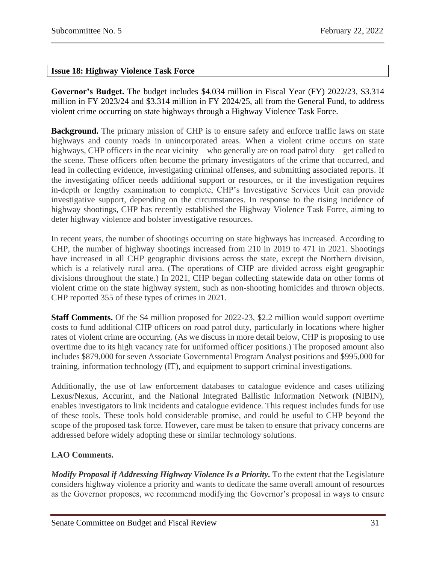### <span id="page-30-0"></span>**Issue 18: Highway Violence Task Force**

**Governor's Budget.** The budget includes \$4.034 million in Fiscal Year (FY) 2022/23, \$3.314 million in FY 2023/24 and \$3.314 million in FY 2024/25, all from the General Fund, to address violent crime occurring on state highways through a Highway Violence Task Force.

**Background.** The primary mission of CHP is to ensure safety and enforce traffic laws on state highways and county roads in unincorporated areas. When a violent crime occurs on state highways, CHP officers in the near vicinity—who generally are on road patrol duty—get called to the scene. These officers often become the primary investigators of the crime that occurred, and lead in collecting evidence, investigating criminal offenses, and submitting associated reports. If the investigating officer needs additional support or resources, or if the investigation requires in-depth or lengthy examination to complete, CHP's Investigative Services Unit can provide investigative support, depending on the circumstances. In response to the rising incidence of highway shootings, CHP has recently established the Highway Violence Task Force, aiming to deter highway violence and bolster investigative resources.

In recent years, the number of shootings occurring on state highways has increased. According to CHP, the number of highway shootings increased from 210 in 2019 to 471 in 2021. Shootings have increased in all CHP geographic divisions across the state, except the Northern division, which is a relatively rural area. (The operations of CHP are divided across eight geographic divisions throughout the state.) In 2021, CHP began collecting statewide data on other forms of violent crime on the state highway system, such as non-shooting homicides and thrown objects. CHP reported 355 of these types of crimes in 2021.

**Staff Comments.** Of the \$4 million proposed for 2022-23, \$2.2 million would support overtime costs to fund additional CHP officers on road patrol duty, particularly in locations where higher rates of violent crime are occurring. (As we discuss in more detail below, CHP is proposing to use overtime due to its high vacancy rate for uniformed officer positions.) The proposed amount also includes \$879,000 for seven Associate Governmental Program Analyst positions and \$995,000 for training, information technology (IT), and equipment to support criminal investigations.

Additionally, the use of law enforcement databases to catalogue evidence and cases utilizing Lexus/Nexus, Accurint, and the National Integrated Ballistic Information Network (NIBIN), enables investigators to link incidents and catalogue evidence. This request includes funds for use of these tools. These tools hold considerable promise, and could be useful to CHP beyond the scope of the proposed task force. However, care must be taken to ensure that privacy concerns are addressed before widely adopting these or similar technology solutions.

# **LAO Comments.**

*Modify Proposal if Addressing Highway Violence Is a Priority.* To the extent that the Legislature considers highway violence a priority and wants to dedicate the same overall amount of resources as the Governor proposes, we recommend modifying the Governor's proposal in ways to ensure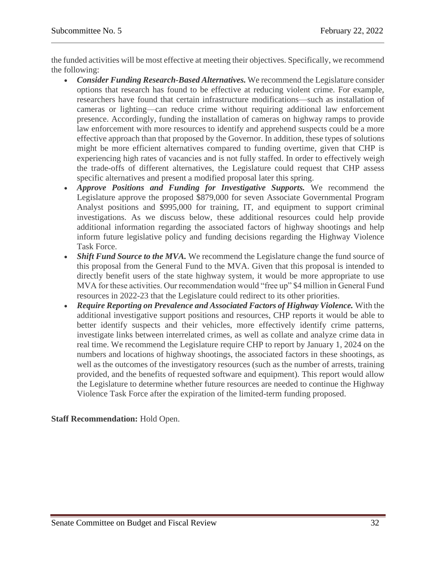the funded activities will be most effective at meeting their objectives. Specifically, we recommend the following:

- *Consider Funding Research-Based Alternatives.* We recommend the Legislature consider options that research has found to be effective at reducing violent crime. For example, researchers have found that certain infrastructure modifications—such as installation of cameras or lighting—can reduce crime without requiring additional law enforcement presence. Accordingly, funding the installation of cameras on highway ramps to provide law enforcement with more resources to identify and apprehend suspects could be a more effective approach than that proposed by the Governor. In addition, these types of solutions might be more efficient alternatives compared to funding overtime, given that CHP is experiencing high rates of vacancies and is not fully staffed. In order to effectively weigh the trade-offs of different alternatives, the Legislature could request that CHP assess specific alternatives and present a modified proposal later this spring.
- *Approve Positions and Funding for Investigative Supports.* We recommend the Legislature approve the proposed \$879,000 for seven Associate Governmental Program Analyst positions and \$995,000 for training, IT, and equipment to support criminal investigations. As we discuss below, these additional resources could help provide additional information regarding the associated factors of highway shootings and help inform future legislative policy and funding decisions regarding the Highway Violence Task Force.
- **Shift Fund Source to the MVA.** We recommend the Legislature change the fund source of this proposal from the General Fund to the MVA. Given that this proposal is intended to directly benefit users of the state highway system, it would be more appropriate to use MVA for these activities. Our recommendation would "free up" \$4 million in General Fund resources in 2022-23 that the Legislature could redirect to its other priorities.
- *Require Reporting on Prevalence and Associated Factors of Highway Violence.* With the additional investigative support positions and resources, CHP reports it would be able to better identify suspects and their vehicles, more effectively identify crime patterns, investigate links between interrelated crimes, as well as collate and analyze crime data in real time. We recommend the Legislature require CHP to report by January 1, 2024 on the numbers and locations of highway shootings, the associated factors in these shootings, as well as the outcomes of the investigatory resources (such as the number of arrests, training provided, and the benefits of requested software and equipment). This report would allow the Legislature to determine whether future resources are needed to continue the Highway Violence Task Force after the expiration of the limited-term funding proposed.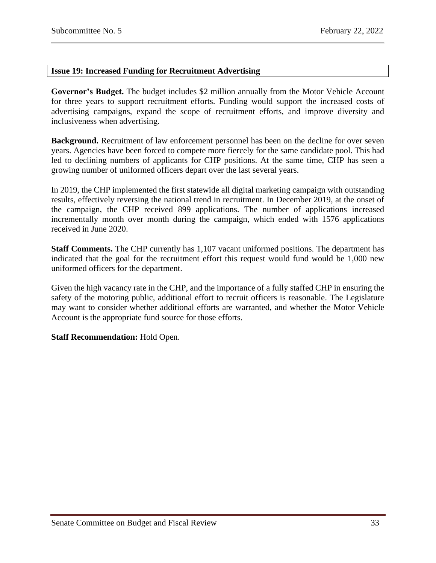#### <span id="page-32-0"></span>**Issue 19: Increased Funding for Recruitment Advertising**

**Governor's Budget.** The budget includes \$2 million annually from the Motor Vehicle Account for three years to support recruitment efforts. Funding would support the increased costs of advertising campaigns, expand the scope of recruitment efforts, and improve diversity and inclusiveness when advertising.

**Background.** Recruitment of law enforcement personnel has been on the decline for over seven years. Agencies have been forced to compete more fiercely for the same candidate pool. This had led to declining numbers of applicants for CHP positions. At the same time, CHP has seen a growing number of uniformed officers depart over the last several years.

In 2019, the CHP implemented the first statewide all digital marketing campaign with outstanding results, effectively reversing the national trend in recruitment. In December 2019, at the onset of the campaign, the CHP received 899 applications. The number of applications increased incrementally month over month during the campaign, which ended with 1576 applications received in June 2020.

**Staff Comments.** The CHP currently has 1,107 vacant uniformed positions. The department has indicated that the goal for the recruitment effort this request would fund would be 1,000 new uniformed officers for the department.

Given the high vacancy rate in the CHP, and the importance of a fully staffed CHP in ensuring the safety of the motoring public, additional effort to recruit officers is reasonable. The Legislature may want to consider whether additional efforts are warranted, and whether the Motor Vehicle Account is the appropriate fund source for those efforts.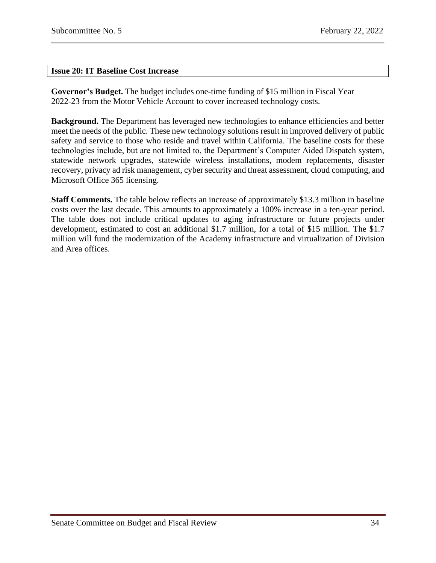#### <span id="page-33-0"></span>**Issue 20: IT Baseline Cost Increase**

**Governor's Budget.** The budget includes one-time funding of \$15 million in Fiscal Year 2022-23 from the Motor Vehicle Account to cover increased technology costs.

**Background.** The Department has leveraged new technologies to enhance efficiencies and better meet the needs of the public. These new technology solutions result in improved delivery of public safety and service to those who reside and travel within California. The baseline costs for these technologies include, but are not limited to, the Department's Computer Aided Dispatch system, statewide network upgrades, statewide wireless installations, modem replacements, disaster recovery, privacy ad risk management, cyber security and threat assessment, cloud computing, and Microsoft Office 365 licensing.

**Staff Comments.** The table below reflects an increase of approximately \$13.3 million in baseline costs over the last decade. This amounts to approximately a 100% increase in a ten-year period. The table does not include critical updates to aging infrastructure or future projects under development, estimated to cost an additional \$1.7 million, for a total of \$15 million. The \$1.7 million will fund the modernization of the Academy infrastructure and virtualization of Division and Area offices.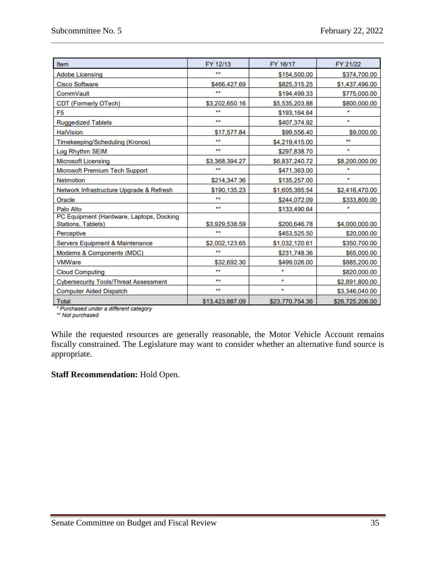| Item                                                           | FY 12/13        | FY 16/17        | FY 21/22        |
|----------------------------------------------------------------|-----------------|-----------------|-----------------|
| <b>Adobe Licensing</b>                                         | **              | \$154,500.00    | \$374,700.00    |
| <b>Cisco Software</b>                                          | \$466,427.69    | \$825,315.25    | \$1,437,496.00  |
| <b>CommVault</b>                                               | **              | \$194,499.33    | \$775,000.00    |
| <b>CDT</b> (Formerly OTech)                                    | \$3,202,650.16  | \$5,535,203.88  | \$800,000.00    |
| F <sub>5</sub>                                                 | **              | \$193,164.64    | $\star$         |
| <b>Ruggedized Tablets</b>                                      | **              | \$407,374.92    | $\star$         |
| <b>HaiVision</b>                                               | \$17,577.84     | \$99,556.40     | \$9,000.00      |
| Timekeeping/Scheduling (Kronos)                                | **              | \$4,219,415.00  | **              |
| Log Rhythm SEIM                                                | **              | \$297,838.70    | $\star$         |
| <b>Microsoft Licensing</b>                                     | \$3,368,394.27  | \$6,837,240.72  | \$8,200,000.00  |
| Microsoft Premium Tech Support                                 | **              | \$471,363.00    |                 |
| <b>Netmotion</b>                                               | \$214,347.36    | \$135,257.00    | $\star$         |
| Network Infrastructure Upgrade & Refresh                       | \$190,135.23    | \$1,605,395.54  | \$2,416,470.00  |
| Oracle                                                         | **              | \$244,072.09    | \$333,800.00    |
| Palo Alto                                                      | **              | \$133,490.64    |                 |
| PC Equipment (Hardware, Laptops, Docking<br>Stations, Tablets) | \$3,929,538.59  | \$200,646.78    | \$4,000,000.00  |
| Perceptive                                                     | **              | \$453,525.50    | \$20,000.00     |
| Servers Equipment & Maintenance                                | \$2,002,123.65  | \$1,032,120.61  | \$350,700.00    |
| Modems & Components (MDC)                                      | **              | \$231,748.36    | \$65,000.00     |
| <b>VMWare</b>                                                  | \$32,692.30     | \$499,026.00    | \$885,200.00    |
| <b>Cloud Computing</b>                                         | **              | $\star$         | \$820,000.00    |
| <b>Cybersecurity Tools/Threat Assessment</b>                   | **              | $\star$         | \$2,891,800.00  |
| <b>Computer Aided Dispatch</b>                                 | **              | $\star$         | \$3,346,040.00  |
| <b>Total</b>                                                   | \$13,423,887.09 | \$23,770,754.36 | \$26,725,206.00 |

\* Purchased under a different category<br>\*\* Not purchased

While the requested resources are generally reasonable, the Motor Vehicle Account remains fiscally constrained. The Legislature may want to consider whether an alternative fund source is appropriate.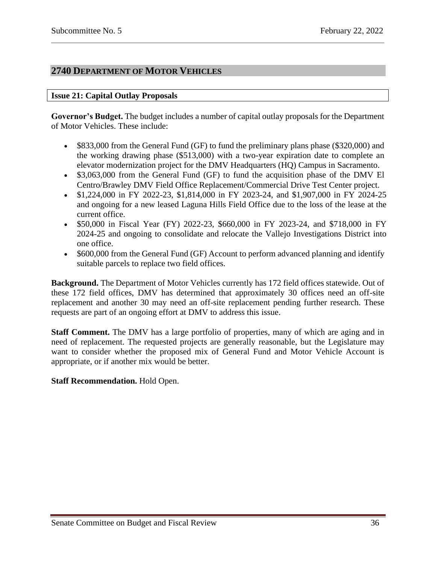# <span id="page-35-0"></span>**2740 DEPARTMENT OF MOTOR VEHICLES**

# <span id="page-35-1"></span>**Issue 21: Capital Outlay Proposals**

**Governor's Budget.** The budget includes a number of capital outlay proposals for the Department of Motor Vehicles. These include:

- \$833,000 from the General Fund (GF) to fund the preliminary plans phase (\$320,000) and the working drawing phase (\$513,000) with a two-year expiration date to complete an elevator modernization project for the DMV Headquarters (HQ) Campus in Sacramento.
- \$3,063,000 from the General Fund (GF) to fund the acquisition phase of the DMV El Centro/Brawley DMV Field Office Replacement/Commercial Drive Test Center project.
- \$1,224,000 in FY 2022-23, \$1,814,000 in FY 2023-24, and \$1,907,000 in FY 2024-25 and ongoing for a new leased Laguna Hills Field Office due to the loss of the lease at the current office.
- \$50,000 in Fiscal Year (FY) 2022-23, \$660,000 in FY 2023-24, and \$718,000 in FY 2024-25 and ongoing to consolidate and relocate the Vallejo Investigations District into one office.
- \$600,000 from the General Fund (GF) Account to perform advanced planning and identify suitable parcels to replace two field offices.

**Background.** The Department of Motor Vehicles currently has 172 field offices statewide. Out of these 172 field offices, DMV has determined that approximately 30 offices need an off-site replacement and another 30 may need an off-site replacement pending further research. These requests are part of an ongoing effort at DMV to address this issue.

**Staff Comment.** The DMV has a large portfolio of properties, many of which are aging and in need of replacement. The requested projects are generally reasonable, but the Legislature may want to consider whether the proposed mix of General Fund and Motor Vehicle Account is appropriate, or if another mix would be better.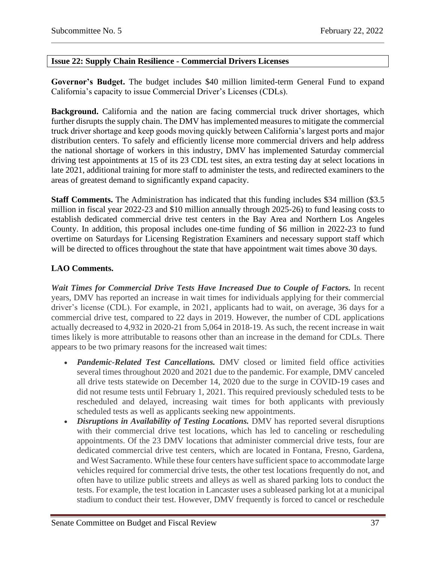# <span id="page-36-0"></span>**Issue 22: Supply Chain Resilience - Commercial Drivers Licenses**

Governor's Budget. The budget includes \$40 million limited-term General Fund to expand California's capacity to issue Commercial Driver's Licenses (CDLs).

**Background.** California and the nation are facing commercial truck driver shortages, which further disrupts the supply chain. The DMV has implemented measures to mitigate the commercial truck driver shortage and keep goods moving quickly between California's largest ports and major distribution centers. To safely and efficiently license more commercial drivers and help address the national shortage of workers in this industry, DMV has implemented Saturday commercial driving test appointments at 15 of its 23 CDL test sites, an extra testing day at select locations in late 2021, additional training for more staff to administer the tests, and redirected examiners to the areas of greatest demand to significantly expand capacity.

**Staff Comments.** The Administration has indicated that this funding includes \$34 million (\$3.5 million in fiscal year 2022-23 and \$10 million annually through 2025-26) to fund leasing costs to establish dedicated commercial drive test centers in the Bay Area and Northern Los Angeles County. In addition, this proposal includes one-time funding of \$6 million in 2022-23 to fund overtime on Saturdays for Licensing Registration Examiners and necessary support staff which will be directed to offices throughout the state that have appointment wait times above 30 days.

#### **LAO Comments.**

*Wait Times for Commercial Drive Tests Have Increased Due to Couple of Factors.* In recent years, DMV has reported an increase in wait times for individuals applying for their commercial driver's license (CDL). For example, in 2021, applicants had to wait, on average, 36 days for a commercial drive test, compared to 22 days in 2019. However, the number of CDL applications actually decreased to 4,932 in 2020-21 from 5,064 in 2018-19. As such, the recent increase in wait times likely is more attributable to reasons other than an increase in the demand for CDLs. There appears to be two primary reasons for the increased wait times:

- *Pandemic-Related Test Cancellations.* DMV closed or limited field office activities several times throughout 2020 and 2021 due to the pandemic. For example, DMV canceled all drive tests statewide on December 14, 2020 due to the surge in COVID-19 cases and did not resume tests until February 1, 2021. This required previously scheduled tests to be rescheduled and delayed, increasing wait times for both applicants with previously scheduled tests as well as applicants seeking new appointments.
- *Disruptions in Availability of Testing Locations.* DMV has reported several disruptions with their commercial drive test locations, which has led to canceling or rescheduling appointments. Of the 23 DMV locations that administer commercial drive tests, four are dedicated commercial drive test centers, which are located in Fontana, Fresno, Gardena, and West Sacramento. While these four centers have sufficient space to accommodate large vehicles required for commercial drive tests, the other test locations frequently do not, and often have to utilize public streets and alleys as well as shared parking lots to conduct the tests. For example, the test location in Lancaster uses a subleased parking lot at a municipal stadium to conduct their test. However, DMV frequently is forced to cancel or reschedule